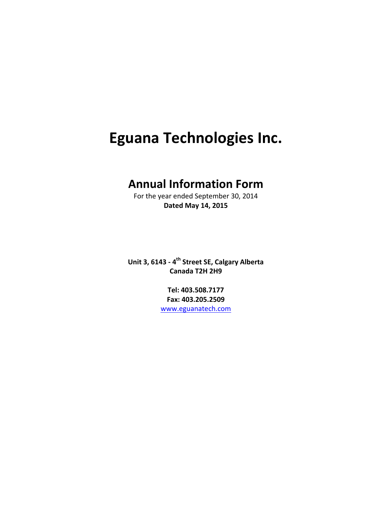# **Eguana Technologies Inc.**

# **Annual Information Form**

For the year ended September 30, 2014 **Dated May 14, 2015**

**Unit 3, 6143 ‐ 4th Street SE, Calgary Alberta Canada T2H 2H9**

> **Tel: 403.508.7177 Fax: 403.205.2509** www.eguanatech.com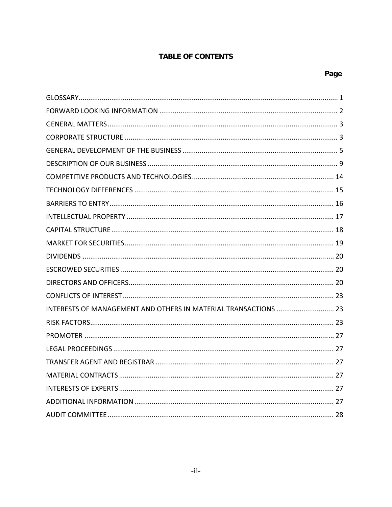# **TABLE OF CONTENTS**

| INTERESTS OF MANAGEMENT AND OTHERS IN MATERIAL TRANSACTIONS  23 |
|-----------------------------------------------------------------|
|                                                                 |
|                                                                 |
|                                                                 |
|                                                                 |
|                                                                 |
|                                                                 |
|                                                                 |
|                                                                 |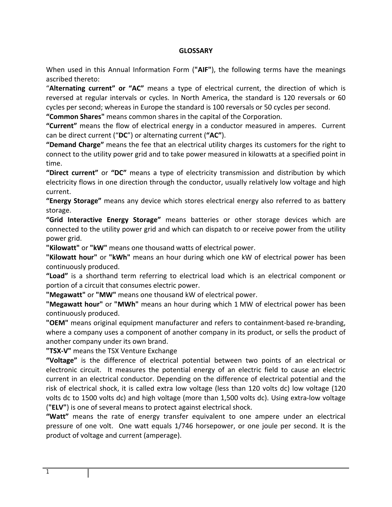#### **GLOSSARY**

When used in this Annual Information Form (**"AIF"**), the following terms have the meanings ascribed thereto:

"**Alternating current" or "AC"** means a type of electrical current, the direction of which is reversed at regular intervals or cycles. In North America, the standard is 120 reversals or 60 cycles per second; whereas in Europe the standard is 100 reversals or 50 cycles per second.

**"Common Shares"** means common shares in the capital of the Corporation.

**"Current"** means the flow of electrical energy in a conductor measured in amperes. Current can be direct current ("**DC**") or alternating current (**"AC"**).

**"Demand Charge"** means the fee that an electrical utility charges its customers for the right to connect to the utility power grid and to take power measured in kilowatts at a specified point in time.

**"Direct current"** or **"DC"** means a type of electricity transmission and distribution by which electricity flows in one direction through the conductor, usually relatively low voltage and high current.

**"Energy Storage"** means any device which stores electrical energy also referred to as battery storage.

**"Grid Interactive Energy Storage"** means batteries or other storage devices which are connected to the utility power grid and which can dispatch to or receive power from the utility power grid.

**"Kilowatt"** or **"kW"** means one thousand watts of electrical power.

**"Kilowatt hour"** or **"kWh"** means an hour during which one kW of electrical power has been continuously produced.

**"Load"** is a shorthand term referring to electrical load which is an electrical component or portion of a circuit that consumes electric power.

**"Megawatt"** or **"MW"** means one thousand kW of electrical power.

**"Megawatt hour"** or **"MWh"** means an hour during which 1 MW of electrical power has been continuously produced.

**"OEM"** means original equipment manufacturer and refers to containment‐based re‐branding, where a company uses a component of another company in its product, or sells the product of another company under its own brand.

**"TSX‐V"** means the TSX Venture Exchange

**"Voltage"** is the difference of electrical potential between two points of an electrical or electronic circuit. It measures the potential energy of an electric field to cause an electric current in an electrical conductor. Depending on the difference of electrical potential and the risk of electrical shock, it is called extra low voltage (less than 120 volts dc) low voltage (120 volts dc to 1500 volts dc) and high voltage (more than 1,500 volts dc). Using extra‐low voltage (**"ELV"**) is one of several means to protect against electrical shock.

**"Watt"** means the rate of energy transfer equivalent to one ampere under an electrical pressure of one volt. One watt equals 1/746 horsepower, or one joule per second. It is the product of voltage and current (amperage).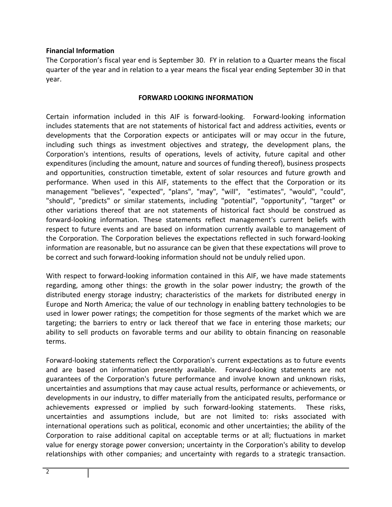#### **Financial Information**

The Corporation's fiscal year end is September 30. FY in relation to a Quarter means the fiscal quarter of the year and in relation to a year means the fiscal year ending September 30 in that year.

#### **FORWARD LOOKING INFORMATION**

Certain information included in this AIF is forward‐looking. Forward‐looking information includes statements that are not statements of historical fact and address activities, events or developments that the Corporation expects or anticipates will or may occur in the future, including such things as investment objectives and strategy, the development plans, the Corporation's intentions, results of operations, levels of activity, future capital and other expenditures (including the amount, nature and sources of funding thereof), business prospects and opportunities, construction timetable, extent of solar resources and future growth and performance. When used in this AIF, statements to the effect that the Corporation or its management "believes", "expected", "plans", "may", "will", "estimates", "would", "could", "should", "predicts" or similar statements, including "potential", "opportunity", "target" or other variations thereof that are not statements of historical fact should be construed as forward‐looking information. These statements reflect management's current beliefs with respect to future events and are based on information currently available to management of the Corporation. The Corporation believes the expectations reflected in such forward‐looking information are reasonable, but no assurance can be given that these expectations will prove to be correct and such forward‐looking information should not be unduly relied upon.

With respect to forward-looking information contained in this AIF, we have made statements regarding, among other things: the growth in the solar power industry; the growth of the distributed energy storage industry; characteristics of the markets for distributed energy in Europe and North America; the value of our technology in enabling battery technologies to be used in lower power ratings; the competition for those segments of the market which we are targeting; the barriers to entry or lack thereof that we face in entering those markets; our ability to sell products on favorable terms and our ability to obtain financing on reasonable terms.

Forward‐looking statements reflect the Corporation's current expectations as to future events and are based on information presently available. Forward‐looking statements are not guarantees of the Corporation's future performance and involve known and unknown risks, uncertainties and assumptions that may cause actual results, performance or achievements, or developments in our industry, to differ materially from the anticipated results, performance or achievements expressed or implied by such forward‐looking statements. These risks, uncertainties and assumptions include, but are not limited to: risks associated with international operations such as political, economic and other uncertainties; the ability of the Corporation to raise additional capital on acceptable terms or at all; fluctuations in market value for energy storage power conversion; uncertainty in the Corporation's ability to develop relationships with other companies; and uncertainty with regards to a strategic transaction.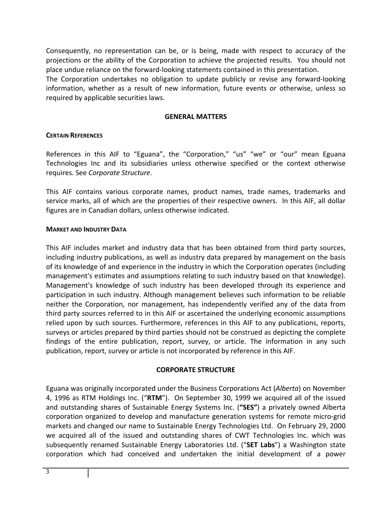Consequently, no representation can be, or is being, made with respect to accuracy of the projections or the ability of the Corporation to achieve the projected results. You should not place undue reliance on the forward‐looking statements contained in this presentation.

The Corporation undertakes no obligation to update publicly or revise any forward‐looking information, whether as a result of new information, future events or otherwise, unless so required by applicable securities laws.

#### **GENERAL MATTERS**

#### **CERTAIN REFERENCES**

References in this AIF to "Eguana", the "Corporation," "us" "we" or "our" mean Eguana Technologies Inc and its subsidiaries unless otherwise specified or the context otherwise requires. See *Corporate Structure*.

This AIF contains various corporate names, product names, trade names, trademarks and service marks, all of which are the properties of their respective owners. In this AIF, all dollar figures are in Canadian dollars, unless otherwise indicated.

#### **MARKET AND INDUSTRY DATA**

This AIF includes market and industry data that has been obtained from third party sources, including industry publications, as well as industry data prepared by management on the basis of its knowledge of and experience in the industry in which the Corporation operates (including management's estimates and assumptions relating to such industry based on that knowledge). Management's knowledge of such industry has been developed through its experience and participation in such industry. Although management believes such information to be reliable neither the Corporation, nor management, has independently verified any of the data from third party sources referred to in this AIF or ascertained the underlying economic assumptions relied upon by such sources. Furthermore, references in this AIF to any publications, reports, surveys or articles prepared by third parties should not be construed as depicting the complete findings of the entire publication, report, survey, or article. The information in any such publication, report, survey or article is not incorporated by reference in this AIF.

#### **CORPORATE STRUCTURE**

Eguana was originally incorporated under the Business Corporations Act (*Alberta*) on November 4, 1996 as RTM Holdings Inc. ("**RTM**"). On September 30, 1999 we acquired all of the issued and outstanding shares of Sustainable Energy Systems Inc. (**"SES"**) a privately owned Alberta corporation organized to develop and manufacture generation systems for remote micro‐grid markets and changed our name to Sustainable Energy Technologies Ltd. On February 29, 2000 we acquired all of the issued and outstanding shares of CWT Technologies Inc. which was subsequently renamed Sustainable Energy Laboratories Ltd. ("**SET Labs**") a Washington state corporation which had conceived and undertaken the initial development of a power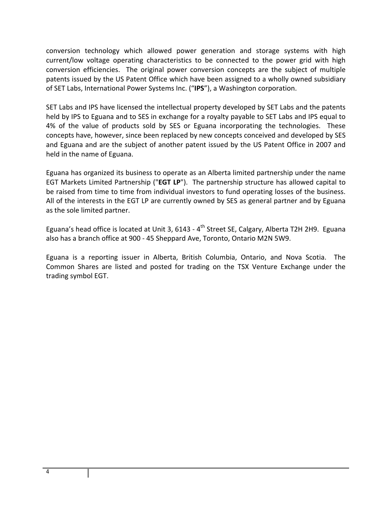conversion technology which allowed power generation and storage systems with high current/low voltage operating characteristics to be connected to the power grid with high conversion efficiencies. The original power conversion concepts are the subject of multiple patents issued by the US Patent Office which have been assigned to a wholly owned subsidiary of SET Labs, International Power Systems Inc. ("**IPS**"), a Washington corporation.

SET Labs and IPS have licensed the intellectual property developed by SET Labs and the patents held by IPS to Eguana and to SES in exchange for a royalty payable to SET Labs and IPS equal to 4% of the value of products sold by SES or Eguana incorporating the technologies. These concepts have, however, since been replaced by new concepts conceived and developed by SES and Eguana and are the subject of another patent issued by the US Patent Office in 2007 and held in the name of Eguana.

Eguana has organized its business to operate as an Alberta limited partnership under the name EGT Markets Limited Partnership ("**EGT LP**"). The partnership structure has allowed capital to be raised from time to time from individual investors to fund operating losses of the business. All of the interests in the EGT LP are currently owned by SES as general partner and by Eguana as the sole limited partner.

Eguana's head office is located at Unit 3, 6143 - 4<sup>th</sup> Street SE, Calgary, Alberta T2H 2H9. Eguana also has a branch office at 900 ‐ 45 Sheppard Ave, Toronto, Ontario M2N 5W9.

Eguana is a reporting issuer in Alberta, British Columbia, Ontario, and Nova Scotia. The Common Shares are listed and posted for trading on the TSX Venture Exchange under the trading symbol EGT.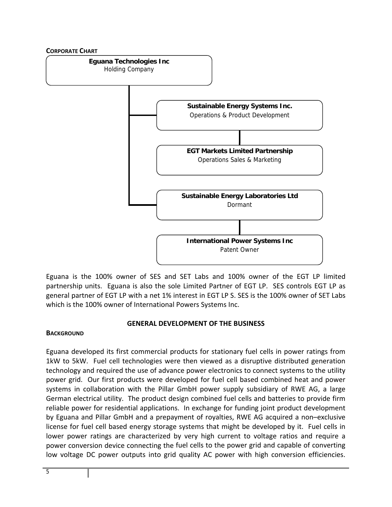

Eguana is the 100% owner of SES and SET Labs and 100% owner of the EGT LP limited partnership units. Eguana is also the sole Limited Partner of EGT LP. SES controls EGT LP as general partner of EGT LP with a net 1% interest in EGT LP S. SES is the 100% owner of SET Labs which is the 100% owner of International Powers Systems Inc.

# **GENERAL DEVELOPMENT OF THE BUSINESS**

#### **BACKGROUND**

Eguana developed its first commercial products for stationary fuel cells in power ratings from 1kW to 5kW. Fuel cell technologies were then viewed as a disruptive distributed generation technology and required the use of advance power electronics to connect systems to the utility power grid. Our first products were developed for fuel cell based combined heat and power systems in collaboration with the Pillar GmbH power supply subsidiary of RWE AG, a large German electrical utility. The product design combined fuel cells and batteries to provide firm reliable power for residential applications. In exchange for funding joint product development by Eguana and Pillar GmbH and a prepayment of royalties, RWE AG acquired a non–exclusive license for fuel cell based energy storage systems that might be developed by it. Fuel cells in lower power ratings are characterized by very high current to voltage ratios and require a power conversion device connecting the fuel cells to the power grid and capable of converting low voltage DC power outputs into grid quality AC power with high conversion efficiencies.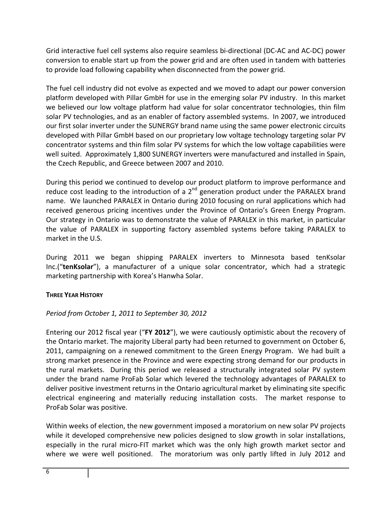Grid interactive fuel cell systems also require seamless bi-directional (DC-AC and AC-DC) power conversion to enable start up from the power grid and are often used in tandem with batteries to provide load following capability when disconnected from the power grid.

The fuel cell industry did not evolve as expected and we moved to adapt our power conversion platform developed with Pillar GmbH for use in the emerging solar PV industry. In this market we believed our low voltage platform had value for solar concentrator technologies, thin film solar PV technologies, and as an enabler of factory assembled systems. In 2007, we introduced our first solar inverter under the SUNERGY brand name using the same power electronic circuits developed with Pillar GmbH based on our proprietary low voltage technology targeting solar PV concentrator systems and thin film solar PV systems for which the low voltage capabilities were well suited. Approximately 1,800 SUNERGY inverters were manufactured and installed in Spain, the Czech Republic, and Greece between 2007 and 2010.

During this period we continued to develop our product platform to improve performance and reduce cost leading to the introduction of a 2<sup>nd</sup> generation product under the PARALEX brand name. We launched PARALEX in Ontario during 2010 focusing on rural applications which had received generous pricing incentives under the Province of Ontario's Green Energy Program. Our strategy in Ontario was to demonstrate the value of PARALEX in this market, in particular the value of PARALEX in supporting factory assembled systems before taking PARALEX to market in the U.S.

During 2011 we began shipping PARALEX inverters to Minnesota based tenKsolar Inc.("**tenKsolar**"), a manufacturer of a unique solar concentrator, which had a strategic marketing partnership with Korea's Hanwha Solar.

# **THREE YEAR HISTORY**

# *Period from October 1, 2011 to September 30, 2012*

Entering our 2012 fiscal year ("**FY 2012**"), we were cautiously optimistic about the recovery of the Ontario market. The majority Liberal party had been returned to government on October 6, 2011, campaigning on a renewed commitment to the Green Energy Program. We had built a strong market presence in the Province and were expecting strong demand for our products in the rural markets. During this period we released a structurally integrated solar PV system under the brand name ProFab Solar which levered the technology advantages of PARALEX to deliver positive investment returns in the Ontario agricultural market by eliminating site specific electrical engineering and materially reducing installation costs. The market response to ProFab Solar was positive.

Within weeks of election, the new government imposed a moratorium on new solar PV projects while it developed comprehensive new policies designed to slow growth in solar installations, especially in the rural micro‐FIT market which was the only high growth market sector and where we were well positioned. The moratorium was only partly lifted in July 2012 and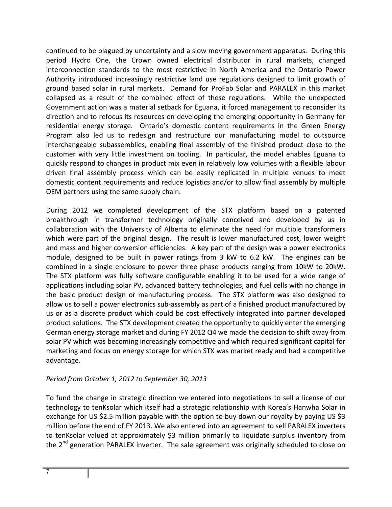continued to be plagued by uncertainty and a slow moving government apparatus. During this period Hydro One, the Crown owned electrical distributor in rural markets, changed interconnection standards to the most restrictive in North America and the Ontario Power Authority introduced increasingly restrictive land use regulations designed to limit growth of ground based solar in rural markets. Demand for ProFab Solar and PARALEX in this market collapsed as a result of the combined effect of these regulations. While the unexpected Government action was a material setback for Eguana, it forced management to reconsider its direction and to refocus its resources on developing the emerging opportunity in Germany for residential energy storage. Ontario's domestic content requirements in the Green Energy Program also led us to redesign and restructure our manufacturing model to outsource interchangeable subassemblies, enabling final assembly of the finished product close to the customer with very little investment on tooling. In particular, the model enables Eguana to quickly respond to changes in product mix even in relatively low volumes with a flexible labour driven final assembly process which can be easily replicated in multiple venues to meet domestic content requirements and reduce logistics and/or to allow final assembly by multiple OEM partners using the same supply chain.

During 2012 we completed development of the STX platform based on a patented breakthrough in transformer technology originally conceived and developed by us in collaboration with the University of Alberta to eliminate the need for multiple transformers which were part of the original design. The result is lower manufactured cost, lower weight and mass and higher conversion efficiencies. A key part of the design was a power electronics module, designed to be built in power ratings from 3 kW to 6.2 kW. The engines can be combined in a single enclosure to power three phase products ranging from 10kW to 20kW. The STX platform was fully software configurable enabling it to be used for a wide range of applications including solar PV, advanced battery technologies, and fuel cells with no change in the basic product design or manufacturing process. The STX platform was also designed to allow us to sell a power electronics sub‐assembly as part of a finished product manufactured by us or as a discrete product which could be cost effectively integrated into partner developed product solutions. The STX development created the opportunity to quickly enter the emerging German energy storage market and during FY 2012 Q4 we made the decision to shift away from solar PV which was becoming increasingly competitive and which required significant capital for marketing and focus on energy storage for which STX was market ready and had a competitive advantage.

# *Period from October 1, 2012 to September 30, 2013*

To fund the change in strategic direction we entered into negotiations to sell a license of our technology to tenKsolar which itself had a strategic relationship with Korea's Hanwha Solar in exchange for US \$2.5 million payable with the option to buy down our royalty by paying US \$3 million before the end of FY 2013. We also entered into an agreement to sell PARALEX inverters to tenKsolar valued at approximately \$3 million primarily to liquidate surplus inventory from the  $2^{nd}$  generation PARALEX inverter. The sale agreement was originally scheduled to close on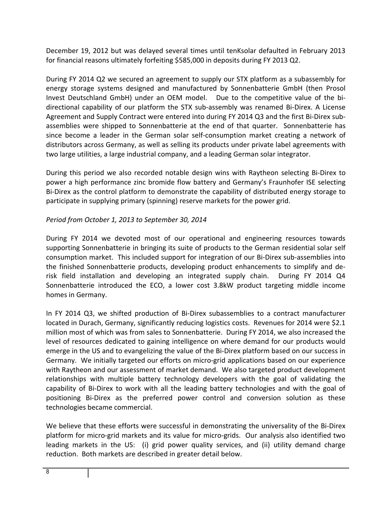December 19, 2012 but was delayed several times until tenKsolar defaulted in February 2013 for financial reasons ultimately forfeiting \$585,000 in deposits during FY 2013 Q2.

During FY 2014 Q2 we secured an agreement to supply our STX platform as a subassembly for energy storage systems designed and manufactured by Sonnenbatterie GmbH (then Prosol Invest Deutschland GmbH) under an OEM model. Due to the competitive value of the bidirectional capability of our platform the STX sub‐assembly was renamed Bi‐Direx. A License Agreement and Supply Contract were entered into during FY 2014 Q3 and the first Bi‐Direx sub‐ assemblies were shipped to Sonnenbatterie at the end of that quarter. Sonnenbatterie has since become a leader in the German solar self‐consumption market creating a network of distributors across Germany, as well as selling its products under private label agreements with two large utilities, a large industrial company, and a leading German solar integrator.

During this period we also recorded notable design wins with Raytheon selecting Bi‐Direx to power a high performance zinc bromide flow battery and Germany's Fraunhofer ISE selecting Bi-Direx as the control platform to demonstrate the capability of distributed energy storage to participate in supplying primary (spinning) reserve markets for the power grid.

# *Period from October 1, 2013 to September 30, 2014*

During FY 2014 we devoted most of our operational and engineering resources towards supporting Sonnenbatterie in bringing its suite of products to the German residential solar self consumption market. This included support for integration of our Bi‐Direx sub‐assemblies into the finished Sonnenbatterie products, developing product enhancements to simplify and de‐ risk field installation and developing an integrated supply chain. During FY 2014 Q4 Sonnenbatterie introduced the ECO, a lower cost 3.8kW product targeting middle income homes in Germany.

In FY 2014 Q3, we shifted production of Bi-Direx subassemblies to a contract manufacturer located in Durach, Germany, significantly reducing logistics costs. Revenues for 2014 were \$2.1 million most of which was from sales to Sonnenbatterie. During FY 2014, we also increased the level of resources dedicated to gaining intelligence on where demand for our products would emerge in the US and to evangelizing the value of the Bi‐Direx platform based on our success in Germany. We initially targeted our efforts on micro‐grid applications based on our experience with Raytheon and our assessment of market demand. We also targeted product development relationships with multiple battery technology developers with the goal of validating the capability of Bi‐Direx to work with all the leading battery technologies and with the goal of positioning Bi‐Direx as the preferred power control and conversion solution as these technologies became commercial.

We believe that these efforts were successful in demonstrating the universality of the Bi-Direx platform for micro‐grid markets and its value for micro‐grids. Our analysis also identified two leading markets in the US: (i) grid power quality services, and (ii) utility demand charge reduction. Both markets are described in greater detail below.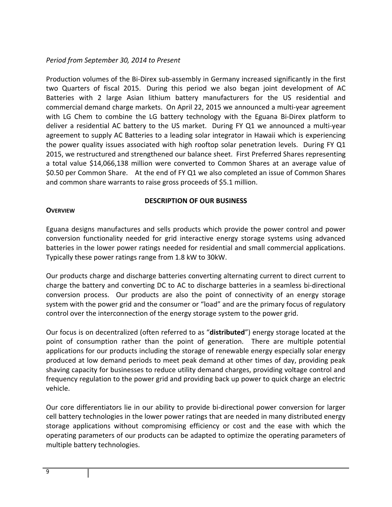# *Period from September 30, 2014 to Present*

Production volumes of the Bi‐Direx sub‐assembly in Germany increased significantly in the first two Quarters of fiscal 2015. During this period we also began joint development of AC Batteries with 2 large Asian lithium battery manufacturers for the US residential and commercial demand charge markets. On April 22, 2015 we announced a multi‐year agreement with LG Chem to combine the LG battery technology with the Eguana Bi-Direx platform to deliver a residential AC battery to the US market. During FY Q1 we announced a multi-year agreement to supply AC Batteries to a leading solar integrator in Hawaii which is experiencing the power quality issues associated with high rooftop solar penetration levels. During FY Q1 2015, we restructured and strengthened our balance sheet. First Preferred Shares representing a total value \$14,066,138 million were converted to Common Shares at an average value of \$0.50 per Common Share. At the end of FY Q1 we also completed an issue of Common Shares and common share warrants to raise gross proceeds of \$5.1 million.

# **DESCRIPTION OF OUR BUSINESS**

#### **OVERVIEW**

Eguana designs manufactures and sells products which provide the power control and power conversion functionality needed for grid interactive energy storage systems using advanced batteries in the lower power ratings needed for residential and small commercial applications. Typically these power ratings range from 1.8 kW to 30kW.

Our products charge and discharge batteries converting alternating current to direct current to charge the battery and converting DC to AC to discharge batteries in a seamless bi‐directional conversion process. Our products are also the point of connectivity of an energy storage system with the power grid and the consumer or "load" and are the primary focus of regulatory control over the interconnection of the energy storage system to the power grid.

Our focus is on decentralized (often referred to as "**distributed**") energy storage located at the point of consumption rather than the point of generation. There are multiple potential applications for our products including the storage of renewable energy especially solar energy produced at low demand periods to meet peak demand at other times of day, providing peak shaving capacity for businesses to reduce utility demand charges, providing voltage control and frequency regulation to the power grid and providing back up power to quick charge an electric vehicle.

Our core differentiators lie in our ability to provide bi‐directional power conversion for larger cell battery technologies in the lower power ratings that are needed in many distributed energy storage applications without compromising efficiency or cost and the ease with which the operating parameters of our products can be adapted to optimize the operating parameters of multiple battery technologies.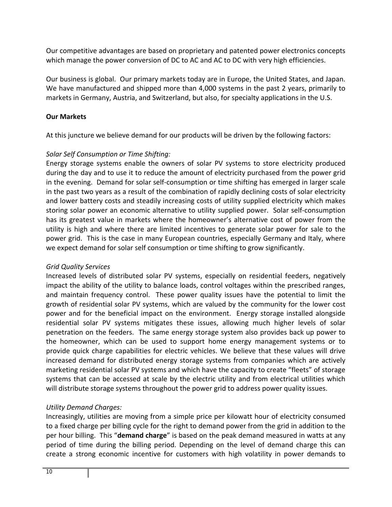Our competitive advantages are based on proprietary and patented power electronics concepts which manage the power conversion of DC to AC and AC to DC with very high efficiencies.

Our business is global. Our primary markets today are in Europe, the United States, and Japan. We have manufactured and shipped more than 4,000 systems in the past 2 years, primarily to markets in Germany, Austria, and Switzerland, but also, for specialty applications in the U.S.

# **Our Markets**

At this juncture we believe demand for our products will be driven by the following factors:

# *Solar Self Consumption or Time Shifting:*

Energy storage systems enable the owners of solar PV systems to store electricity produced during the day and to use it to reduce the amount of electricity purchased from the power grid in the evening. Demand for solar self‐consumption or time shifting has emerged in larger scale in the past two years as a result of the combination of rapidly declining costs of solar electricity and lower battery costs and steadily increasing costs of utility supplied electricity which makes storing solar power an economic alternative to utility supplied power. Solar self‐consumption has its greatest value in markets where the homeowner's alternative cost of power from the utility is high and where there are limited incentives to generate solar power for sale to the power grid. This is the case in many European countries, especially Germany and Italy, where we expect demand for solar self consumption or time shifting to grow significantly.

# *Grid Quality Services*

Increased levels of distributed solar PV systems, especially on residential feeders, negatively impact the ability of the utility to balance loads, control voltages within the prescribed ranges, and maintain frequency control. These power quality issues have the potential to limit the growth of residential solar PV systems, which are valued by the community for the lower cost power and for the beneficial impact on the environment. Energy storage installed alongside residential solar PV systems mitigates these issues, allowing much higher levels of solar penetration on the feeders. The same energy storage system also provides back up power to the homeowner, which can be used to support home energy management systems or to provide quick charge capabilities for electric vehicles. We believe that these values will drive increased demand for distributed energy storage systems from companies which are actively marketing residential solar PV systems and which have the capacity to create "fleets" of storage systems that can be accessed at scale by the electric utility and from electrical utilities which will distribute storage systems throughout the power grid to address power quality issues.

# *Utility Demand Charges:*

Increasingly, utilities are moving from a simple price per kilowatt hour of electricity consumed to a fixed charge per billing cycle for the right to demand power from the grid in addition to the per hour billing. This "**demand charge**" is based on the peak demand measured in watts at any period of time during the billing period. Depending on the level of demand charge this can create a strong economic incentive for customers with high volatility in power demands to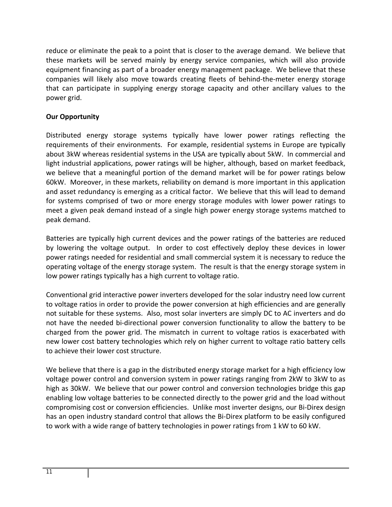reduce or eliminate the peak to a point that is closer to the average demand. We believe that these markets will be served mainly by energy service companies, which will also provide equipment financing as part of a broader energy management package. We believe that these companies will likely also move towards creating fleets of behind-the-meter energy storage that can participate in supplying energy storage capacity and other ancillary values to the power grid.

# **Our Opportunity**

Distributed energy storage systems typically have lower power ratings reflecting the requirements of their environments. For example, residential systems in Europe are typically about 3kW whereas residential systems in the USA are typically about 5kW. In commercial and light industrial applications, power ratings will be higher, although, based on market feedback, we believe that a meaningful portion of the demand market will be for power ratings below 60kW. Moreover, in these markets, reliability on demand is more important in this application and asset redundancy is emerging as a critical factor. We believe that this will lead to demand for systems comprised of two or more energy storage modules with lower power ratings to meet a given peak demand instead of a single high power energy storage systems matched to peak demand.

Batteries are typically high current devices and the power ratings of the batteries are reduced by lowering the voltage output. In order to cost effectively deploy these devices in lower power ratings needed for residential and small commercial system it is necessary to reduce the operating voltage of the energy storage system. The result is that the energy storage system in low power ratings typically has a high current to voltage ratio.

Conventional grid interactive power inverters developed for the solar industry need low current to voltage ratios in order to provide the power conversion at high efficiencies and are generally not suitable for these systems. Also, most solar inverters are simply DC to AC inverters and do not have the needed bi-directional power conversion functionality to allow the battery to be charged from the power grid. The mismatch in current to voltage ratios is exacerbated with new lower cost battery technologies which rely on higher current to voltage ratio battery cells to achieve their lower cost structure.

We believe that there is a gap in the distributed energy storage market for a high efficiency low voltage power control and conversion system in power ratings ranging from 2kW to 3kW to as high as 30kW. We believe that our power control and conversion technologies bridge this gap enabling low voltage batteries to be connected directly to the power grid and the load without compromising cost or conversion efficiencies. Unlike most inverter designs, our Bi‐Direx design has an open industry standard control that allows the Bi‐Direx platform to be easily configured to work with a wide range of battery technologies in power ratings from 1 kW to 60 kW.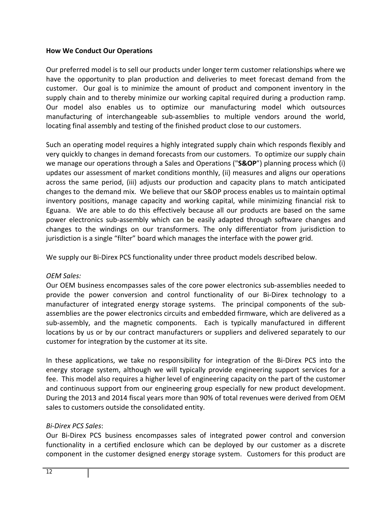#### **How We Conduct Our Operations**

Our preferred model is to sell our products under longer term customer relationships where we have the opportunity to plan production and deliveries to meet forecast demand from the customer. Our goal is to minimize the amount of product and component inventory in the supply chain and to thereby minimize our working capital required during a production ramp. Our model also enables us to optimize our manufacturing model which outsources manufacturing of interchangeable sub‐assemblies to multiple vendors around the world, locating final assembly and testing of the finished product close to our customers.

Such an operating model requires a highly integrated supply chain which responds flexibly and very quickly to changes in demand forecasts from our customers. To optimize our supply chain we manage our operations through a Sales and Operations ("**S&OP**") planning process which (i) updates our assessment of market conditions monthly, (ii) measures and aligns our operations across the same period, (iii) adjusts our production and capacity plans to match anticipated changes to the demand mix. We believe that our S&OP process enables us to maintain optimal inventory positions, manage capacity and working capital, while minimizing financial risk to Eguana. We are able to do this effectively because all our products are based on the same power electronics sub‐assembly which can be easily adapted through software changes and changes to the windings on our transformers. The only differentiator from jurisdiction to jurisdiction is a single "filter" board which manages the interface with the power grid.

We supply our Bi-Direx PCS functionality under three product models described below.

# *OEM Sales:*

Our OEM business encompasses sales of the core power electronics sub‐assemblies needed to provide the power conversion and control functionality of our Bi‐Direx technology to a manufacturer of integrated energy storage systems. The principal components of the subassemblies are the power electronics circuits and embedded firmware, which are delivered as a sub-assembly, and the magnetic components. Each is typically manufactured in different locations by us or by our contract manufacturers or suppliers and delivered separately to our customer for integration by the customer at its site.

In these applications, we take no responsibility for integration of the Bi‐Direx PCS into the energy storage system, although we will typically provide engineering support services for a fee. This model also requires a higher level of engineering capacity on the part of the customer and continuous support from our engineering group especially for new product development. During the 2013 and 2014 fiscal years more than 90% of total revenues were derived from OEM sales to customers outside the consolidated entity.

# *Bi‐Direx PCS Sales*:

Our Bi‐Direx PCS business encompasses sales of integrated power control and conversion functionality in a certified enclosure which can be deployed by our customer as a discrete component in the customer designed energy storage system. Customers for this product are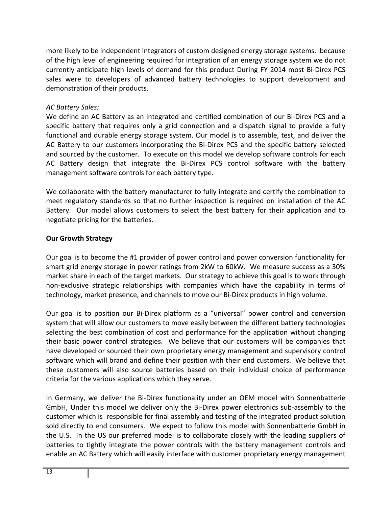more likely to be independent integrators of custom designed energy storage systems. because of the high level of engineering required for integration of an energy storage system we do not currently anticipate high levels of demand for this product During FY 2014 most Bi‐Direx PCS sales were to developers of advanced battery technologies to support development and demonstration of their products.

# *AC Battery Sales:*

We define an AC Battery as an integrated and certified combination of our Bi-Direx PCS and a specific battery that requires only a grid connection and a dispatch signal to provide a fully functional and durable energy storage system. Our model is to assemble, test, and deliver the AC Battery to our customers incorporating the Bi‐Direx PCS and the specific battery selected and sourced by the customer. To execute on this model we develop software controls for each AC Battery design that integrate the Bi‐Direx PCS control software with the battery management software controls for each battery type.

We collaborate with the battery manufacturer to fully integrate and certify the combination to meet regulatory standards so that no further inspection is required on installation of the AC Battery. Our model allows customers to select the best battery for their application and to negotiate pricing for the batteries.

#### **Our Growth Strategy**

Our goal is to become the #1 provider of power control and power conversion functionality for smart grid energy storage in power ratings from 2kW to 60kW. We measure success as a 30% market share in each of the target markets. Our strategy to achieve this goal is to work through non‐exclusive strategic relationships with companies which have the capability in terms of technology, market presence, and channels to move our Bi‐Direx products in high volume.

Our goal is to position our Bi‐Direx platform as a "universal" power control and conversion system that will allow our customers to move easily between the different battery technologies selecting the best combination of cost and performance for the application without changing their basic power control strategies. We believe that our customers will be companies that have developed or sourced their own proprietary energy management and supervisory control software which will brand and define their position with their end customers. We believe that these customers will also source batteries based on their individual choice of performance criteria for the various applications which they serve.

In Germany, we deliver the Bi-Direx functionality under an OEM model with Sonnenbatterie GmbH, Under this model we deliver only the Bi‐Direx power electronics sub‐assembly to the customer which is responsible for final assembly and testing of the integrated product solution sold directly to end consumers. We expect to follow this model with Sonnenbatterie GmbH in the U.S. In the US our preferred model is to collaborate closely with the leading suppliers of batteries to tightly integrate the power controls with the battery management controls and enable an AC Battery which will easily interface with customer proprietary energy management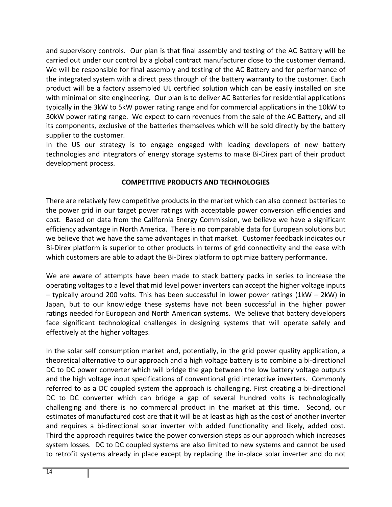and supervisory controls. Our plan is that final assembly and testing of the AC Battery will be carried out under our control by a global contract manufacturer close to the customer demand. We will be responsible for final assembly and testing of the AC Battery and for performance of the integrated system with a direct pass through of the battery warranty to the customer. Each product will be a factory assembled UL certified solution which can be easily installed on site with minimal on site engineering. Our plan is to deliver AC Batteries for residential applications typically in the 3kW to 5kW power rating range and for commercial applications in the 10kW to 30kW power rating range. We expect to earn revenues from the sale of the AC Battery, and all its components, exclusive of the batteries themselves which will be sold directly by the battery supplier to the customer.

In the US our strategy is to engage engaged with leading developers of new battery technologies and integrators of energy storage systems to make Bi‐Direx part of their product development process.

# **COMPETITIVE PRODUCTS AND TECHNOLOGIES**

There are relatively few competitive products in the market which can also connect batteries to the power grid in our target power ratings with acceptable power conversion efficiencies and cost. Based on data from the California Energy Commission, we believe we have a significant efficiency advantage in North America. There is no comparable data for European solutions but we believe that we have the same advantages in that market. Customer feedback indicates our Bi-Direx platform is superior to other products in terms of grid connectivity and the ease with which customers are able to adapt the Bi-Direx platform to optimize battery performance.

We are aware of attempts have been made to stack battery packs in series to increase the operating voltages to a level that mid level power inverters can accept the higher voltage inputs – typically around 200 volts. This has been successful in lower power ratings (1kW – 2kW) in Japan, but to our knowledge these systems have not been successful in the higher power ratings needed for European and North American systems. We believe that battery developers face significant technological challenges in designing systems that will operate safely and effectively at the higher voltages.

In the solar self consumption market and, potentially, in the grid power quality application, a theoretical alternative to our approach and a high voltage battery is to combine a bi‐directional DC to DC power converter which will bridge the gap between the low battery voltage outputs and the high voltage input specifications of conventional grid interactive inverters. Commonly referred to as a DC coupled system the approach is challenging. First creating a bi‐directional DC to DC converter which can bridge a gap of several hundred volts is technologically challenging and there is no commercial product in the market at this time. Second, our estimates of manufactured cost are that it will be at least as high as the cost of another inverter and requires a bi-directional solar inverter with added functionality and likely, added cost. Third the approach requires twice the power conversion steps as our approach which increases system losses. DC to DC coupled systems are also limited to new systems and cannot be used to retrofit systems already in place except by replacing the in‐place solar inverter and do not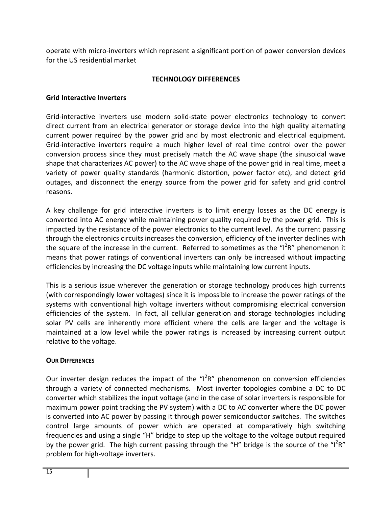operate with micro‐inverters which represent a significant portion of power conversion devices for the US residential market

# **TECHNOLOGY DIFFERENCES**

#### **Grid Interactive Inverters**

Grid-interactive inverters use modern solid-state power electronics technology to convert direct current from an electrical generator or storage device into the high quality alternating current power required by the power grid and by most electronic and electrical equipment. Grid‐interactive inverters require a much higher level of real time control over the power conversion process since they must precisely match the AC wave shape (the sinusoidal wave shape that characterizes AC power) to the AC wave shape of the power grid in real time, meet a variety of power quality standards (harmonic distortion, power factor etc), and detect grid outages, and disconnect the energy source from the power grid for safety and grid control reasons.

A key challenge for grid interactive inverters is to limit energy losses as the DC energy is converted into AC energy while maintaining power quality required by the power grid. This is impacted by the resistance of the power electronics to the current level. As the current passing through the electronics circuits increases the conversion, efficiency of the inverter declines with the square of the increase in the current. Referred to sometimes as the "I<sup>2</sup>R" phenomenon it means that power ratings of conventional inverters can only be increased without impacting efficiencies by increasing the DC voltage inputs while maintaining low current inputs.

This is a serious issue wherever the generation or storage technology produces high currents (with correspondingly lower voltages) since it is impossible to increase the power ratings of the systems with conventional high voltage inverters without compromising electrical conversion efficiencies of the system. In fact, all cellular generation and storage technologies including solar PV cells are inherently more efficient where the cells are larger and the voltage is maintained at a low level while the power ratings is increased by increasing current output relative to the voltage.

#### **OUR DIFFERENCES**

Our inverter design reduces the impact of the "I<sup>2</sup>R" phenomenon on conversion efficiencies through a variety of connected mechanisms. Most inverter topologies combine a DC to DC converter which stabilizes the input voltage (and in the case of solar inverters is responsible for maximum power point tracking the PV system) with a DC to AC converter where the DC power is converted into AC power by passing it through power semiconductor switches. The switches control large amounts of power which are operated at comparatively high switching frequencies and using a single "H" bridge to step up the voltage to the voltage output required by the power grid. The high current passing through the "H" bridge is the source of the "I<sup>2</sup>R" problem for high‐voltage inverters.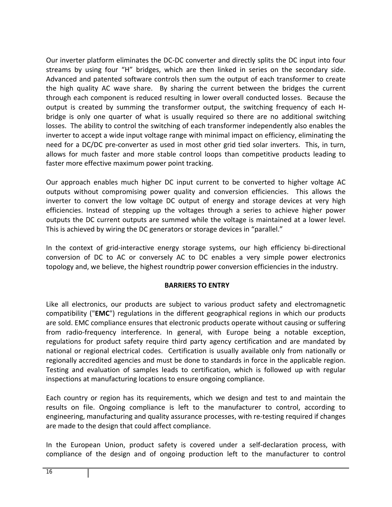Our inverter platform eliminates the DC‐DC converter and directly splits the DC input into four streams by using four "H" bridges, which are then linked in series on the secondary side. Advanced and patented software controls then sum the output of each transformer to create the high quality AC wave share. By sharing the current between the bridges the current through each component is reduced resulting in lower overall conducted losses. Because the output is created by summing the transformer output, the switching frequency of each H‐ bridge is only one quarter of what is usually required so there are no additional switching losses. The ability to control the switching of each transformer independently also enables the inverter to accept a wide input voltage range with minimal impact on efficiency, eliminating the need for a DC/DC pre-converter as used in most other grid tied solar inverters. This, in turn, allows for much faster and more stable control loops than competitive products leading to faster more effective maximum power point tracking.

Our approach enables much higher DC input current to be converted to higher voltage AC outputs without compromising power quality and conversion efficiencies. This allows the inverter to convert the low voltage DC output of energy and storage devices at very high efficiencies. Instead of stepping up the voltages through a series to achieve higher power outputs the DC current outputs are summed while the voltage is maintained at a lower level. This is achieved by wiring the DC generators or storage devices in "parallel."

In the context of grid-interactive energy storage systems, our high efficiency bi-directional conversion of DC to AC or conversely AC to DC enables a very simple power electronics topology and, we believe, the highest roundtrip power conversion efficiencies in the industry.

#### **BARRIERS TO ENTRY**

Like all electronics, our products are subject to various product safety and electromagnetic compatibility ("**EMC**") regulations in the different geographical regions in which our products are sold. EMC compliance ensures that electronic products operate without causing or suffering from radio‐frequency interference. In general, with Europe being a notable exception, regulations for product safety require third party agency certification and are mandated by national or regional electrical codes. Certification is usually available only from nationally or regionally accredited agencies and must be done to standards in force in the applicable region. Testing and evaluation of samples leads to certification, which is followed up with regular inspections at manufacturing locations to ensure ongoing compliance.

Each country or region has its requirements, which we design and test to and maintain the results on file. Ongoing compliance is left to the manufacturer to control, according to engineering, manufacturing and quality assurance processes, with re-testing required if changes are made to the design that could affect compliance.

In the European Union, product safety is covered under a self-declaration process, with compliance of the design and of ongoing production left to the manufacturer to control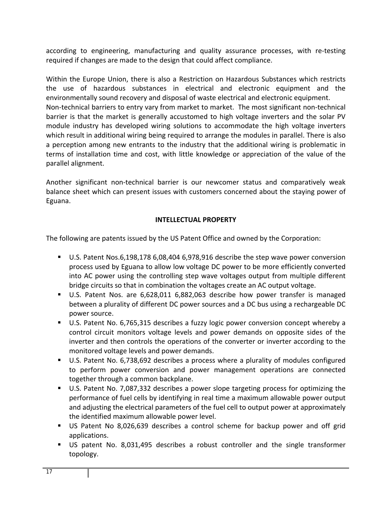according to engineering, manufacturing and quality assurance processes, with re‐testing required if changes are made to the design that could affect compliance.

Within the Europe Union, there is also a Restriction on Hazardous Substances which restricts the use of hazardous substances in electrical and electronic equipment and the environmentally sound recovery and disposal of waste electrical and electronic equipment. Non-technical barriers to entry vary from market to market. The most significant non-technical barrier is that the market is generally accustomed to high voltage inverters and the solar PV module industry has developed wiring solutions to accommodate the high voltage inverters which result in additional wiring being required to arrange the modules in parallel. There is also a perception among new entrants to the industry that the additional wiring is problematic in terms of installation time and cost, with little knowledge or appreciation of the value of the parallel alignment.

Another significant non‐technical barrier is our newcomer status and comparatively weak balance sheet which can present issues with customers concerned about the staying power of Eguana.

# **INTELLECTUAL PROPERTY**

The following are patents issued by the US Patent Office and owned by the Corporation:

- U.S. Patent Nos.6,198,178 6,08,404 6,978,916 describe the step wave power conversion process used by Eguana to allow low voltage DC power to be more efficiently converted into AC power using the controlling step wave voltages output from multiple different bridge circuits so that in combination the voltages create an AC output voltage.
- U.S. Patent Nos. are 6,628,011 6,882,063 describe how power transfer is managed between a plurality of different DC power sources and a DC bus using a rechargeable DC power source.
- U.S. Patent No. 6,765,315 describes a fuzzy logic power conversion concept whereby a control circuit monitors voltage levels and power demands on opposite sides of the inverter and then controls the operations of the converter or inverter according to the monitored voltage levels and power demands.
- U.S. Patent No. 6,738,692 describes a process where a plurality of modules configured to perform power conversion and power management operations are connected together through a common backplane.
- U.S. Patent No. 7,087,332 describes a power slope targeting process for optimizing the performance of fuel cells by identifying in real time a maximum allowable power output and adjusting the electrical parameters of the fuel cell to output power at approximately the identified maximum allowable power level.
- US Patent No 8,026,639 describes a control scheme for backup power and off grid applications.
- US patent No. 8,031,495 describes a robust controller and the single transformer topology.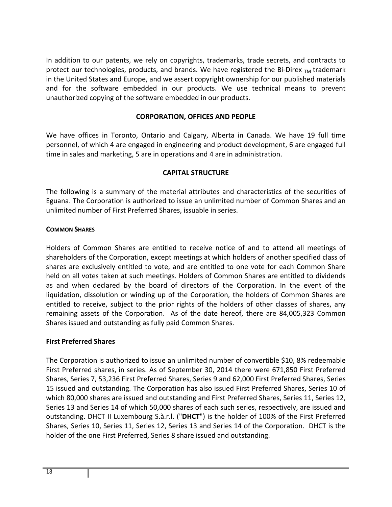In addition to our patents, we rely on copyrights, trademarks, trade secrets, and contracts to protect our technologies, products, and brands. We have registered the Bi-Direx  $_{TM}$  trademark in the United States and Europe, and we assert copyright ownership for our published materials and for the software embedded in our products. We use technical means to prevent unauthorized copying of the software embedded in our products.

# **CORPORATION, OFFICES AND PEOPLE**

We have offices in Toronto, Ontario and Calgary, Alberta in Canada. We have 19 full time personnel, of which 4 are engaged in engineering and product development, 6 are engaged full time in sales and marketing, 5 are in operations and 4 are in administration.

# **CAPITAL STRUCTURE**

The following is a summary of the material attributes and characteristics of the securities of Eguana. The Corporation is authorized to issue an unlimited number of Common Shares and an unlimited number of First Preferred Shares, issuable in series.

#### **COMMON SHARES**

Holders of Common Shares are entitled to receive notice of and to attend all meetings of shareholders of the Corporation, except meetings at which holders of another specified class of shares are exclusively entitled to vote, and are entitled to one vote for each Common Share held on all votes taken at such meetings. Holders of Common Shares are entitled to dividends as and when declared by the board of directors of the Corporation. In the event of the liquidation, dissolution or winding up of the Corporation, the holders of Common Shares are entitled to receive, subject to the prior rights of the holders of other classes of shares, any remaining assets of the Corporation. As of the date hereof, there are 84,005,323 Common Shares issued and outstanding as fully paid Common Shares.

# **First Preferred Shares**

The Corporation is authorized to issue an unlimited number of convertible \$10, 8% redeemable First Preferred shares, in series. As of September 30, 2014 there were 671,850 First Preferred Shares, Series 7, 53,236 First Preferred Shares, Series 9 and 62,000 First Preferred Shares, Series 15 issued and outstanding. The Corporation has also issued First Preferred Shares, Series 10 of which 80,000 shares are issued and outstanding and First Preferred Shares, Series 11, Series 12, Series 13 and Series 14 of which 50,000 shares of each such series, respectively, are issued and outstanding. DHCT II Luxembourg S.à.r.l. ("**DHCT**") is the holder of 100% of the First Preferred Shares, Series 10, Series 11, Series 12, Series 13 and Series 14 of the Corporation. DHCT is the holder of the one First Preferred, Series 8 share issued and outstanding.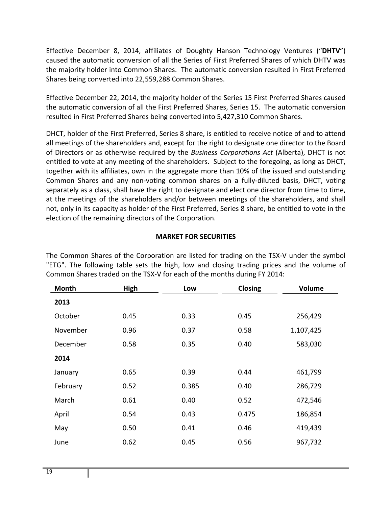Effective December 8, 2014, affiliates of Doughty Hanson Technology Ventures ("**DHTV**") caused the automatic conversion of all the Series of First Preferred Shares of which DHTV was the majority holder into Common Shares. The automatic conversion resulted in First Preferred Shares being converted into 22,559,288 Common Shares.

Effective December 22, 2014, the majority holder of the Series 15 First Preferred Shares caused the automatic conversion of all the First Preferred Shares, Series 15. The automatic conversion resulted in First Preferred Shares being converted into 5,427,310 Common Shares.

DHCT, holder of the First Preferred, Series 8 share, is entitled to receive notice of and to attend all meetings of the shareholders and, except for the right to designate one director to the Board of Directors or as otherwise required by the *Business Corporations Act* (Alberta), DHCT is not entitled to vote at any meeting of the shareholders. Subject to the foregoing, as long as DHCT, together with its affiliates, own in the aggregate more than 10% of the issued and outstanding Common Shares and any non‐voting common shares on a fully‐diluted basis, DHCT, voting separately as a class, shall have the right to designate and elect one director from time to time, at the meetings of the shareholders and/or between meetings of the shareholders, and shall not, only in its capacity as holder of the First Preferred, Series 8 share, be entitled to vote in the election of the remaining directors of the Corporation.

# **MARKET FOR SECURITIES**

The Common Shares of the Corporation are listed for trading on the TSX‐V under the symbol "ETG". The following table sets the high, low and closing trading prices and the volume of Common Shares traded on the TSX‐V for each of the months during FY 2014:

| <b>Month</b> | High | Low   | Closing | Volume    |
|--------------|------|-------|---------|-----------|
| 2013         |      |       |         |           |
| October      | 0.45 | 0.33  | 0.45    | 256,429   |
| November     | 0.96 | 0.37  | 0.58    | 1,107,425 |
| December     | 0.58 | 0.35  | 0.40    | 583,030   |
| 2014         |      |       |         |           |
| January      | 0.65 | 0.39  | 0.44    | 461,799   |
| February     | 0.52 | 0.385 | 0.40    | 286,729   |
| March        | 0.61 | 0.40  | 0.52    | 472,546   |
| April        | 0.54 | 0.43  | 0.475   | 186,854   |
| May          | 0.50 | 0.41  | 0.46    | 419,439   |
| June         | 0.62 | 0.45  | 0.56    | 967,732   |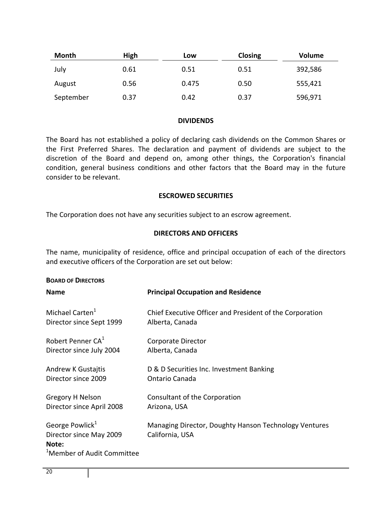| <b>Month</b> | High | Low   | <b>Closing</b> | <b>Volume</b> |
|--------------|------|-------|----------------|---------------|
| July         | 0.61 | 0.51  | 0.51           | 392,586       |
| August       | 0.56 | 0.475 | 0.50           | 555,421       |
| September    | 0.37 | 0.42  | 0.37           | 596,971       |

#### **DIVIDENDS**

The Board has not established a policy of declaring cash dividends on the Common Shares or the First Preferred Shares. The declaration and payment of dividends are subject to the discretion of the Board and depend on, among other things, the Corporation's financial condition, general business conditions and other factors that the Board may in the future consider to be relevant.

#### **ESCROWED SECURITIES**

The Corporation does not have any securities subject to an escrow agreement.

#### **DIRECTORS AND OFFICERS**

The name, municipality of residence, office and principal occupation of each of the directors and executive officers of the Corporation are set out below:

| <b>BOARD OF DIRECTORS</b>                                                                                 |                                                                          |
|-----------------------------------------------------------------------------------------------------------|--------------------------------------------------------------------------|
| <b>Name</b>                                                                                               | <b>Principal Occupation and Residence</b>                                |
| Michael Carten <sup>1</sup>                                                                               | Chief Executive Officer and President of the Corporation                 |
| Director since Sept 1999                                                                                  | Alberta, Canada                                                          |
| Robert Penner CA <sup>1</sup>                                                                             | Corporate Director                                                       |
| Director since July 2004                                                                                  | Alberta, Canada                                                          |
| <b>Andrew K Gustajtis</b>                                                                                 | D & D Securities Inc. Investment Banking                                 |
| Director since 2009                                                                                       | Ontario Canada                                                           |
| Gregory H Nelson                                                                                          | Consultant of the Corporation                                            |
| Director since April 2008                                                                                 | Arizona, USA                                                             |
| George Powlick <sup>1</sup><br>Director since May 2009<br>Note:<br><sup>1</sup> Member of Audit Committee | Managing Director, Doughty Hanson Technology Ventures<br>California, USA |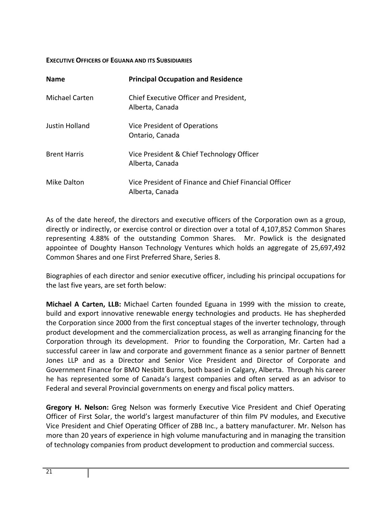#### **EXECUTIVE OFFICERS OF EGUANA AND ITS SUBSIDIARIES**

| <b>Name</b>         | <b>Principal Occupation and Residence</b>                                |
|---------------------|--------------------------------------------------------------------------|
| Michael Carten      | Chief Executive Officer and President,<br>Alberta, Canada                |
| Justin Holland      | Vice President of Operations<br>Ontario, Canada                          |
| <b>Brent Harris</b> | Vice President & Chief Technology Officer<br>Alberta, Canada             |
| Mike Dalton         | Vice President of Finance and Chief Financial Officer<br>Alberta, Canada |

As of the date hereof, the directors and executive officers of the Corporation own as a group, directly or indirectly, or exercise control or direction over a total of 4,107,852 Common Shares representing 4.88% of the outstanding Common Shares. Mr. Powlick is the designated appointee of Doughty Hanson Technology Ventures which holds an aggregate of 25,697,492 Common Shares and one First Preferred Share, Series 8.

Biographies of each director and senior executive officer, including his principal occupations for the last five years, are set forth below:

**Michael A Carten, LLB:** Michael Carten founded Eguana in 1999 with the mission to create, build and export innovative renewable energy technologies and products. He has shepherded the Corporation since 2000 from the first conceptual stages of the inverter technology, through product development and the commercialization process, as well as arranging financing for the Corporation through its development. Prior to founding the Corporation, Mr. Carten had a successful career in law and corporate and government finance as a senior partner of Bennett Jones LLP and as a Director and Senior Vice President and Director of Corporate and Government Finance for BMO Nesbitt Burns, both based in Calgary, Alberta. Through his career he has represented some of Canada's largest companies and often served as an advisor to Federal and several Provincial governments on energy and fiscal policy matters.

**Gregory H. Nelson:** Greg Nelson was formerly Executive Vice President and Chief Operating Officer of First Solar, the world's largest manufacturer of thin film PV modules, and Executive Vice President and Chief Operating Officer of ZBB Inc., a battery manufacturer. Mr. Nelson has more than 20 years of experience in high volume manufacturing and in managing the transition of technology companies from product development to production and commercial success.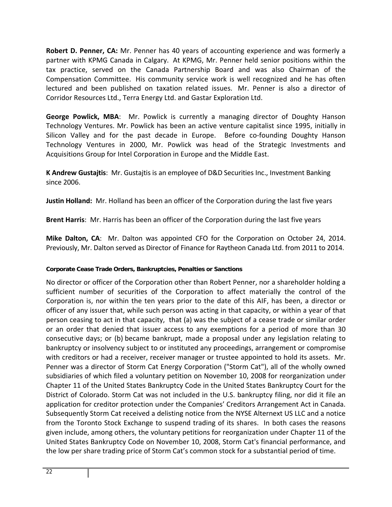**Robert D. Penner, CA:** Mr. Penner has 40 years of accounting experience and was formerly a partner with KPMG Canada in Calgary. At KPMG, Mr. Penner held senior positions within the tax practice, served on the Canada Partnership Board and was also Chairman of the Compensation Committee. His community service work is well recognized and he has often lectured and been published on taxation related issues. Mr. Penner is also a director of Corridor Resources Ltd., Terra Energy Ltd. and Gastar Exploration Ltd.

**George Powlick, MBA**: Mr. Powlick is currently a managing director of Doughty Hanson Technology Ventures. Mr. Powlick has been an active venture capitalist since 1995, initially in Silicon Valley and for the past decade in Europe. Before co-founding Doughty Hanson Technology Ventures in 2000, Mr. Powlick was head of the Strategic Investments and Acquisitions Group for Intel Corporation in Europe and the Middle East.

**K Andrew Gustajtis**: Mr. Gustajtis is an employee of D&D Securities Inc., Investment Banking since 2006.

**Justin Holland:** Mr. Holland has been an officer of the Corporation during the last five years

**Brent Harris**: Mr. Harris has been an officer of the Corporation during the last five years

**Mike Dalton, CA**: Mr. Dalton was appointed CFO for the Corporation on October 24, 2014. Previously, Mr. Dalton served as Director of Finance for Raytheon Canada Ltd. from 2011 to 2014.

# **Corporate Cease Trade Orders, Bankruptcies, Penalties or Sanctions**

No director or officer of the Corporation other than Robert Penner, nor a shareholder holding a sufficient number of securities of the Corporation to affect materially the control of the Corporation is, nor within the ten years prior to the date of this AIF, has been, a director or officer of any issuer that, while such person was acting in that capacity, or within a year of that person ceasing to act in that capacity, that (a) was the subject of a cease trade or similar order or an order that denied that issuer access to any exemptions for a period of more than 30 consecutive days; or (b) became bankrupt, made a proposal under any legislation relating to bankruptcy or insolvency subject to or instituted any proceedings, arrangement or compromise with creditors or had a receiver, receiver manager or trustee appointed to hold its assets. Mr. Penner was a director of Storm Cat Energy Corporation ("Storm Cat"), all of the wholly owned subsidiaries of which filed a voluntary petition on November 10, 2008 for reorganization under Chapter 11 of the United States Bankruptcy Code in the United States Bankruptcy Court for the District of Colorado. Storm Cat was not included in the U.S. bankruptcy filing, nor did it file an application for creditor protection under the Companies' Creditors Arrangement Act in Canada. Subsequently Storm Cat received a delisting notice from the NYSE Alternext US LLC and a notice from the Toronto Stock Exchange to suspend trading of its shares. In both cases the reasons given include, among others, the voluntary petitions for reorganization under Chapter 11 of the United States Bankruptcy Code on November 10, 2008, Storm Cat's financial performance, and the low per share trading price of Storm Cat's common stock for a substantial period of time.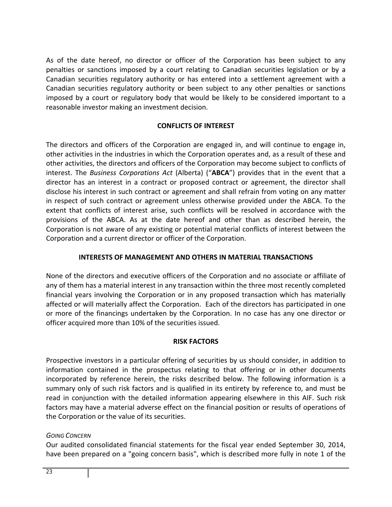As of the date hereof, no director or officer of the Corporation has been subject to any penalties or sanctions imposed by a court relating to Canadian securities legislation or by a Canadian securities regulatory authority or has entered into a settlement agreement with a Canadian securities regulatory authority or been subject to any other penalties or sanctions imposed by a court or regulatory body that would be likely to be considered important to a reasonable investor making an investment decision.

# **CONFLICTS OF INTEREST**

The directors and officers of the Corporation are engaged in, and will continue to engage in, other activities in the industries in which the Corporation operates and, as a result of these and other activities, the directors and officers of the Corporation may become subject to conflicts of interest. The *Business Corporations Act* (Alberta) ("**ABCA**") provides that in the event that a director has an interest in a contract or proposed contract or agreement, the director shall disclose his interest in such contract or agreement and shall refrain from voting on any matter in respect of such contract or agreement unless otherwise provided under the ABCA. To the extent that conflicts of interest arise, such conflicts will be resolved in accordance with the provisions of the ABCA. As at the date hereof and other than as described herein, the Corporation is not aware of any existing or potential material conflicts of interest between the Corporation and a current director or officer of the Corporation.

# **INTERESTS OF MANAGEMENT AND OTHERS IN MATERIAL TRANSACTIONS**

None of the directors and executive officers of the Corporation and no associate or affiliate of any of them has a material interest in any transaction within the three most recently completed financial years involving the Corporation or in any proposed transaction which has materially affected or will materially affect the Corporation. Each of the directors has participated in one or more of the financings undertaken by the Corporation. In no case has any one director or officer acquired more than 10% of the securities issued.

#### **RISK FACTORS**

Prospective investors in a particular offering of securities by us should consider, in addition to information contained in the prospectus relating to that offering or in other documents incorporated by reference herein, the risks described below. The following information is a summary only of such risk factors and is qualified in its entirety by reference to, and must be read in conjunction with the detailed information appearing elsewhere in this AIF. Such risk factors may have a material adverse effect on the financial position or results of operations of the Corporation or the value of its securities.

#### *GOING CONCERN*

Our audited consolidated financial statements for the fiscal year ended September 30, 2014, have been prepared on a "going concern basis", which is described more fully in note 1 of the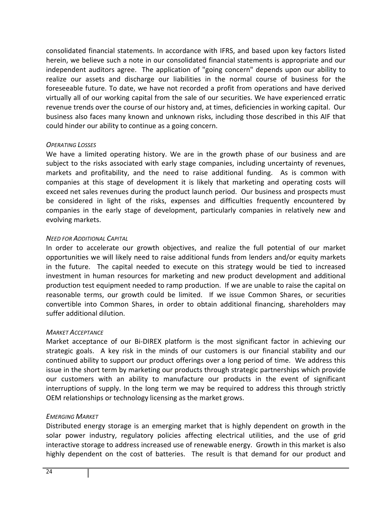consolidated financial statements. In accordance with IFRS, and based upon key factors listed herein, we believe such a note in our consolidated financial statements is appropriate and our independent auditors agree. The application of "going concern" depends upon our ability to realize our assets and discharge our liabilities in the normal course of business for the foreseeable future. To date, we have not recorded a profit from operations and have derived virtually all of our working capital from the sale of our securities. We have experienced erratic revenue trends over the course of our history and, at times, deficiencies in working capital. Our business also faces many known and unknown risks, including those described in this AIF that could hinder our ability to continue as a going concern.

#### *OPERATING LOSSES*

We have a limited operating history. We are in the growth phase of our business and are subject to the risks associated with early stage companies, including uncertainty of revenues, markets and profitability, and the need to raise additional funding. As is common with companies at this stage of development it is likely that marketing and operating costs will exceed net sales revenues during the product launch period. Our business and prospects must be considered in light of the risks, expenses and difficulties frequently encountered by companies in the early stage of development, particularly companies in relatively new and evolving markets.

#### *NEED FOR ADDITIONAL CAPITAL*

In order to accelerate our growth objectives, and realize the full potential of our market opportunities we will likely need to raise additional funds from lenders and/or equity markets in the future. The capital needed to execute on this strategy would be tied to increased investment in human resources for marketing and new product development and additional production test equipment needed to ramp production. If we are unable to raise the capital on reasonable terms, our growth could be limited. If we issue Common Shares, or securities convertible into Common Shares, in order to obtain additional financing, shareholders may suffer additional dilution.

#### *MARKET ACCEPTANCE*

Market acceptance of our Bi‐DIREX platform is the most significant factor in achieving our strategic goals. A key risk in the minds of our customers is our financial stability and our continued ability to support our product offerings over a long period of time. We address this issue in the short term by marketing our products through strategic partnerships which provide our customers with an ability to manufacture our products in the event of significant interruptions of supply. In the long term we may be required to address this through strictly OEM relationships or technology licensing as the market grows.

#### *EMERGING MARKET*

Distributed energy storage is an emerging market that is highly dependent on growth in the solar power industry, regulatory policies affecting electrical utilities, and the use of grid interactive storage to address increased use of renewable energy. Growth in this market is also highly dependent on the cost of batteries. The result is that demand for our product and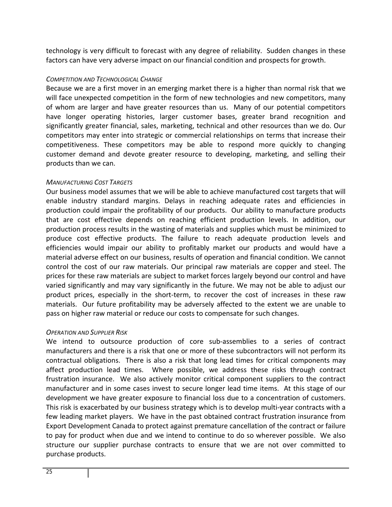technology is very difficult to forecast with any degree of reliability. Sudden changes in these factors can have very adverse impact on our financial condition and prospects for growth.

# *COMPETITION AND TECHNOLOGICAL CHANGE*

Because we are a first mover in an emerging market there is a higher than normal risk that we will face unexpected competition in the form of new technologies and new competitors, many of whom are larger and have greater resources than us.Many of our potential competitors have longer operating histories, larger customer bases, greater brand recognition and significantly greater financial, sales, marketing, technical and other resources than we do. Our competitors may enter into strategic or commercial relationships on terms that increase their competitiveness. These competitors may be able to respond more quickly to changing customer demand and devote greater resource to developing, marketing, and selling their products than we can.

#### *MANUFACTURING COST TARGETS*

Our business model assumes that we will be able to achieve manufactured cost targets that will enable industry standard margins. Delays in reaching adequate rates and efficiencies in production could impair the profitability of our products. Our ability to manufacture products that are cost effective depends on reaching efficient production levels. In addition, our production process results in the wasting of materials and supplies which must be minimized to produce cost effective products. The failure to reach adequate production levels and efficiencies would impair our ability to profitably market our products and would have a material adverse effect on our business, results of operation and financial condition. We cannot control the cost of our raw materials. Our principal raw materials are copper and steel. The prices for these raw materials are subject to market forces largely beyond our control and have varied significantly and may vary significantly in the future. We may not be able to adjust our product prices, especially in the short‐term, to recover the cost of increases in these raw materials. Our future profitability may be adversely affected to the extent we are unable to pass on higher raw material or reduce our costs to compensate for such changes.

# *OPERATION AND SUPPLIER RISK*

We intend to outsource production of core sub-assemblies to a series of contract manufacturers and there is a risk that one or more of these subcontractors will not perform its contractual obligations. There is also a risk that long lead times for critical components may affect production lead times. Where possible, we address these risks through contract frustration insurance. We also actively monitor critical component suppliers to the contract manufacturer and in some cases invest to secure longer lead time items. At this stage of our development we have greater exposure to financial loss due to a concentration of customers. This risk is exacerbated by our business strategy which is to develop multi‐year contracts with a few leading market players. We have in the past obtained contract frustration insurance from Export Development Canada to protect against premature cancellation of the contract or failure to pay for product when due and we intend to continue to do so wherever possible. We also structure our supplier purchase contracts to ensure that we are not over committed to purchase products.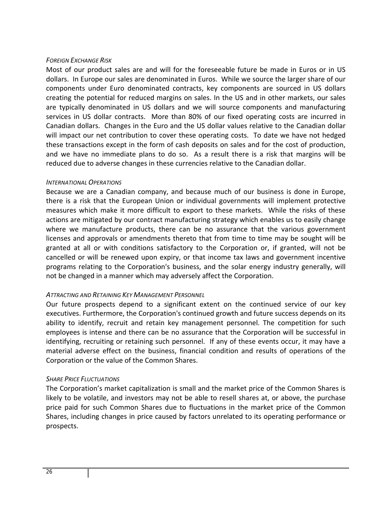#### *FOREIGN EXCHANGE RISK*

Most of our product sales are and will for the foreseeable future be made in Euros or in US dollars. In Europe our sales are denominated in Euros. While we source the larger share of our components under Euro denominated contracts, key components are sourced in US dollars creating the potential for reduced margins on sales. In the US and in other markets, our sales are typically denominated in US dollars and we will source components and manufacturing services in US dollar contracts. More than 80% of our fixed operating costs are incurred in Canadian dollars. Changes in the Euro and the US dollar values relative to the Canadian dollar will impact our net contribution to cover these operating costs. To date we have not hedged these transactions except in the form of cash deposits on sales and for the cost of production, and we have no immediate plans to do so. As a result there is a risk that margins will be reduced due to adverse changes in these currencies relative to the Canadian dollar.

#### *INTERNATIONAL OPERATIONS*

Because we are a Canadian company, and because much of our business is done in Europe, there is a risk that the European Union or individual governments will implement protective measures which make it more difficult to export to these markets. While the risks of these actions are mitigated by our contract manufacturing strategy which enables us to easily change where we manufacture products, there can be no assurance that the various government licenses and approvals or amendments thereto that from time to time may be sought will be granted at all or with conditions satisfactory to the Corporation or, if granted, will not be cancelled or will be renewed upon expiry, or that income tax laws and government incentive programs relating to the Corporation's business, and the solar energy industry generally, will not be changed in a manner which may adversely affect the Corporation.

#### *ATTRACTING AND RETAINING KEY MANAGEMENT PERSONNEL*

Our future prospects depend to a significant extent on the continued service of our key executives. Furthermore, the Corporation's continued growth and future success depends on its ability to identify, recruit and retain key management personnel. The competition for such employees is intense and there can be no assurance that the Corporation will be successful in identifying, recruiting or retaining such personnel. If any of these events occur, it may have a material adverse effect on the business, financial condition and results of operations of the Corporation or the value of the Common Shares.

#### *SHARE PRICE FLUCTUATIONS*

The Corporation's market capitalization is small and the market price of the Common Shares is likely to be volatile, and investors may not be able to resell shares at, or above, the purchase price paid for such Common Shares due to fluctuations in the market price of the Common Shares, including changes in price caused by factors unrelated to its operating performance or prospects.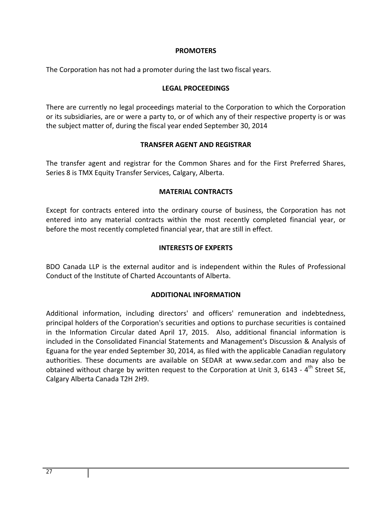#### **PROMOTERS**

The Corporation has not had a promoter during the last two fiscal years.

#### **LEGAL PROCEEDINGS**

There are currently no legal proceedings material to the Corporation to which the Corporation or its subsidiaries, are or were a party to, or of which any of their respective property is or was the subject matter of, during the fiscal year ended September 30, 2014

#### **TRANSFER AGENT AND REGISTRAR**

The transfer agent and registrar for the Common Shares and for the First Preferred Shares, Series 8 is TMX Equity Transfer Services, Calgary, Alberta.

#### **MATERIAL CONTRACTS**

Except for contracts entered into the ordinary course of business, the Corporation has not entered into any material contracts within the most recently completed financial year, or before the most recently completed financial year, that are still in effect.

#### **INTERESTS OF EXPERTS**

BDO Canada LLP is the external auditor and is independent within the Rules of Professional Conduct of the Institute of Charted Accountants of Alberta.

#### **ADDITIONAL INFORMATION**

Additional information, including directors' and officers' remuneration and indebtedness, principal holders of the Corporation's securities and options to purchase securities is contained in the Information Circular dated April 17, 2015. Also, additional financial information is included in the Consolidated Financial Statements and Management's Discussion & Analysis of Eguana for the year ended September 30, 2014, as filed with the applicable Canadian regulatory authorities. These documents are available on SEDAR at www.sedar.com and may also be obtained without charge by written request to the Corporation at Unit 3, 6143 - 4<sup>th</sup> Street SE. Calgary Alberta Canada T2H 2H9.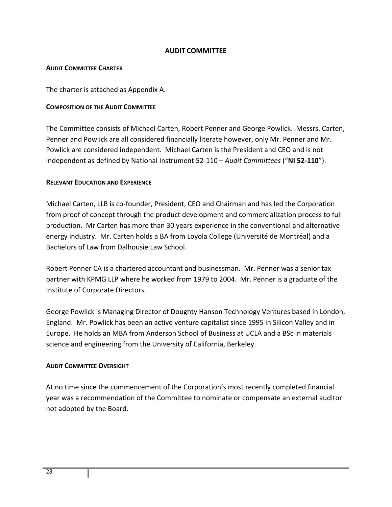# **AUDIT COMMITTEE**

#### **AUDIT COMMITTEE CHARTER**

The charter is attached as Appendix A.

#### **COMPOSITION OF THE AUDIT COMMITTEE**

The Committee consists of Michael Carten, Robert Penner and George Powlick. Messrs. Carten, Penner and Powlick are all considered financially literate however, only Mr. Penner and Mr. Powlick are considered independent. Michael Carten is the President and CEO and is not independent as defined by National Instrument 52‐110 – *Audit Committees* ("**NI 52‐110**").

#### **RELEVANT EDUCATION AND EXPERIENCE**

Michael Carten, LLB is co‐founder, President, CEO and Chairman and has led the Corporation from proof of concept through the product development and commercialization process to full production. Mr Carten has more than 30 years experience in the conventional and alternative energy industry. Mr. Carten holds a BA from Loyola College (Université de Montréal) and a Bachelors of Law from Dalhousie Law School.

Robert Penner CA is a chartered accountant and businessman. Mr. Penner was a senior tax partner with KPMG LLP where he worked from 1979 to 2004. Mr. Penner is a graduate of the Institute of Corporate Directors.

George Powlick is Managing Director of Doughty Hanson Technology Ventures based in London, England. Mr. Powlick has been an active venture capitalist since 1995 in Silicon Valley and in Europe. He holds an MBA from Anderson School of Business at UCLA and a BSc in materials science and engineering from the University of California, Berkeley.

#### **AUDIT COMMITTEE OVERSIGHT**

At no time since the commencement of the Corporation's most recently completed financial year was a recommendation of the Committee to nominate or compensate an external auditor not adopted by the Board.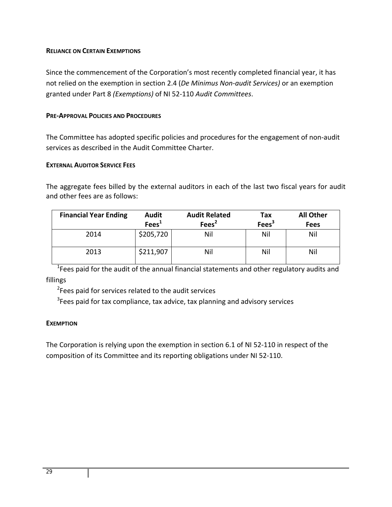#### **RELIANCE ON CERTAIN EXEMPTIONS**

Since the commencement of the Corporation's most recently completed financial year, it has not relied on the exemption in section 2.4 (*De Minimus Non‐audit Services)* or an exemption granted under Part 8 *(Exemptions)* of NI 52‐110 *Audit Committees*.

# **PRE‐APPROVAL POLICIES AND PROCEDURES**

The Committee has adopted specific policies and procedures for the engagement of non‐audit services as described in the Audit Committee Charter.

# **EXTERNAL AUDITOR SERVICE FEES**

The aggregate fees billed by the external auditors in each of the last two fiscal years for audit and other fees are as follows:

| <b>Financial Year Ending</b> | <b>Audit</b><br>Fees <sup>1</sup> | <b>Audit Related</b><br>Fees <sup>2</sup> | Tax<br>Fees <sup>3</sup> | <b>All Other</b><br><b>Fees</b> |
|------------------------------|-----------------------------------|-------------------------------------------|--------------------------|---------------------------------|
| 2014                         | \$205,720                         | Nil                                       | Nil                      | Nil                             |
| 2013                         | \$211,907                         | Nil                                       | Nil                      | Nil                             |

<sup>1</sup>Fees paid for the audit of the annual financial statements and other regulatory audits and fillings

<sup>2</sup>Fees paid for services related to the audit services

 $3$ Fees paid for tax compliance, tax advice, tax planning and advisory services

#### **EXEMPTION**

The Corporation is relying upon the exemption in section 6.1 of NI 52‐110 in respect of the composition of its Committee and its reporting obligations under NI 52‐110.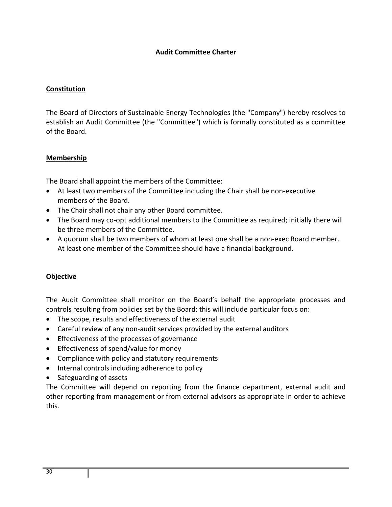#### **Audit Committee Charter**

#### **Constitution**

The Board of Directors of Sustainable Energy Technologies (the "Company") hereby resolves to establish an Audit Committee (the "Committee") which is formally constituted as a committee of the Board.

# **Membership**

The Board shall appoint the members of the Committee:

- At least two members of the Committee including the Chair shall be non-executive members of the Board.
- The Chair shall not chair any other Board committee.
- The Board may co-opt additional members to the Committee as required; initially there will be three members of the Committee.
- A quorum shall be two members of whom at least one shall be a non-exec Board member. At least one member of the Committee should have a financial background.

#### **Objective**

The Audit Committee shall monitor on the Board's behalf the appropriate processes and controls resulting from policies set by the Board; this will include particular focus on:

- The scope, results and effectiveness of the external audit
- Careful review of any non-audit services provided by the external auditors
- **Effectiveness of the processes of governance**
- **•** Effectiveness of spend/value for money
- Compliance with policy and statutory requirements
- Internal controls including adherence to policy
- Safeguarding of assets

The Committee will depend on reporting from the finance department, external audit and other reporting from management or from external advisors as appropriate in order to achieve this.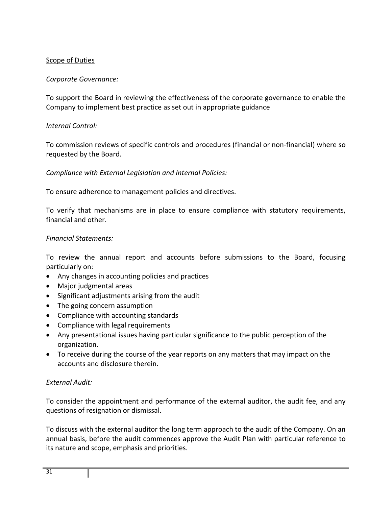# Scope of Duties

# *Corporate Governance:*

To support the Board in reviewing the effectiveness of the corporate governance to enable the Company to implement best practice as set out in appropriate guidance

# *Internal Control:*

To commission reviews of specific controls and procedures (financial or non‐financial) where so requested by the Board.

# *Compliance with External Legislation and Internal Policies:*

To ensure adherence to management policies and directives.

To verify that mechanisms are in place to ensure compliance with statutory requirements, financial and other.

#### *Financial Statements:*

To review the annual report and accounts before submissions to the Board, focusing particularly on:

- Any changes in accounting policies and practices
- Major judgmental areas
- Significant adjustments arising from the audit
- The going concern assumption
- Compliance with accounting standards
- Compliance with legal requirements
- Any presentational issues having particular significance to the public perception of the organization.
- To receive during the course of the year reports on any matters that may impact on the accounts and disclosure therein.

# *External Audit:*

To consider the appointment and performance of the external auditor, the audit fee, and any questions of resignation or dismissal.

To discuss with the external auditor the long term approach to the audit of the Company. On an annual basis, before the audit commences approve the Audit Plan with particular reference to its nature and scope, emphasis and priorities.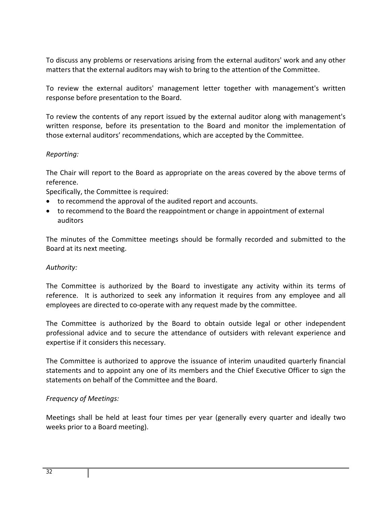To discuss any problems or reservations arising from the external auditors' work and any other matters that the external auditors may wish to bring to the attention of the Committee.

To review the external auditors' management letter together with management's written response before presentation to the Board.

To review the contents of any report issued by the external auditor along with management's written response, before its presentation to the Board and monitor the implementation of those external auditors' recommendations, which are accepted by the Committee.

# *Reporting:*

The Chair will report to the Board as appropriate on the areas covered by the above terms of reference.

Specifically, the Committee is required:

- to recommend the approval of the audited report and accounts.
- to recommend to the Board the reappointment or change in appointment of external auditors

The minutes of the Committee meetings should be formally recorded and submitted to the Board at its next meeting.

#### *Authority:*

The Committee is authorized by the Board to investigate any activity within its terms of reference. It is authorized to seek any information it requires from any employee and all employees are directed to co-operate with any request made by the committee.

The Committee is authorized by the Board to obtain outside legal or other independent professional advice and to secure the attendance of outsiders with relevant experience and expertise if it considers this necessary.

The Committee is authorized to approve the issuance of interim unaudited quarterly financial statements and to appoint any one of its members and the Chief Executive Officer to sign the statements on behalf of the Committee and the Board.

# *Frequency of Meetings:*

Meetings shall be held at least four times per year (generally every quarter and ideally two weeks prior to a Board meeting).